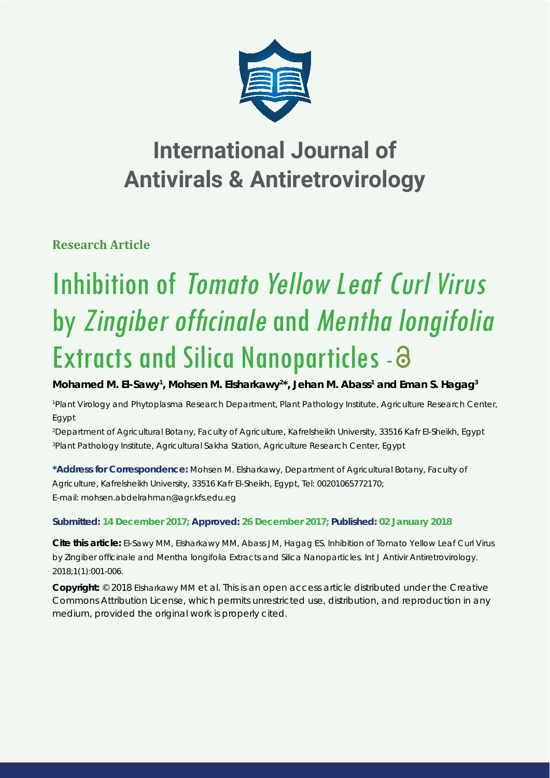

# **International Journal of Antivirals & Antiretrovirology**

**Research Article**

# Inhibition of Tomato Yellow Leaf Curl Virus by Zingiber officinale and Mentha longifolia Extracts and Silica Nanoparticles - a

Mohamed M. El-Sawy<sup>1</sup>, Mohsen M. Elsharkawy<sup>2\*</sup>, Jehan M. Abass<sup>1</sup> and Eman S. Hagag<sup>3</sup>

*1 Plant Virology and Phytoplasma Research Department, Plant Pathology Institute, Agriculture Research Center, Egypt*

*2 Department of Agricultural Botany, Faculty of Agriculture, Kafrelsheikh University, 33516 Kafr El-Sheikh, Egypt 3 Plant Pathology Institute, Agricultural Sakha Station, Agriculture Research Center, Egypt*

**\*Address for Correspondence:** Mohsen M. Elsharkawy, Department of Agricultural Botany, Faculty of Agriculture, Kafrelsheikh University, 33516 Kafr El-Sheikh, Egypt, Tel: 00201065772170; E-mail: mohsen.abdelrahman@agr.kfs.edu.eg

# **Submitted: 14 December 2017; Approved: 26 December 2017; Published: 02 January 2018**

**Cite this article:** El-Sawy MM, Elsharkawy MM, Abass JM, Hagag ES. Inhibition of *Tomato Yellow Leaf Curl Virus* by *Zingiber offi cinale* and *Mentha longifolia* Extracts and Silica Nanoparticles. Int J Antivir Antiretrovirology. 2018;1(1):001-006.

**Copyright:** © 2018 Elsharkawy MM et al. This is an open access article distributed under the Creative Commons Attribution License, which permits unrestricted use, distribution, and reproduction in any medium, provided the original work is properly cited.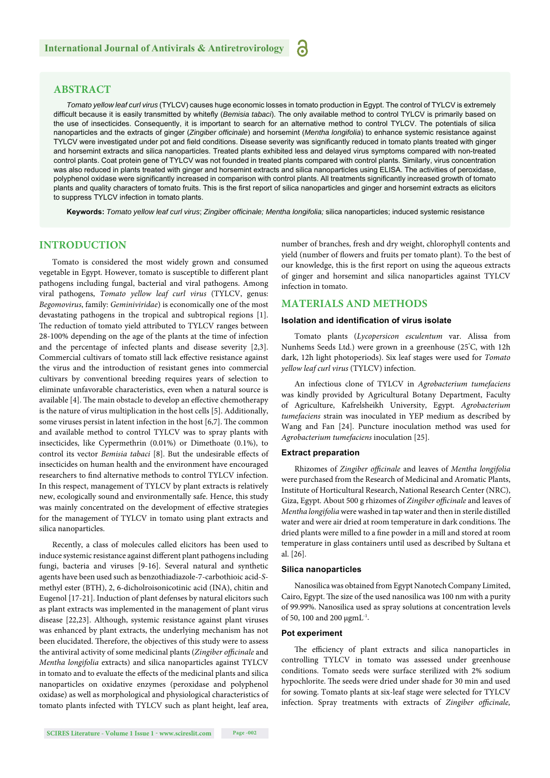# **ABSTRACT**

*Tomato yellow leaf curl virus* (TYLCV) causes huge economic losses in tomato production in Egypt. The control of TYLCV is extremely difficult because it is easily transmitted by whitefly (*Bemisia tabaci*). The only available method to control TYLCV is primarily based on the use of insecticides. Consequently, it is important to search for an alternative method to control TYLCV. The potentials of silica nanoparticles and the extracts of ginger (*Zingiber offi cinale*) and horsemint (*Mentha longifolia*) to enhance systemic resistance against TYLCV were investigated under pot and field conditions. Disease severity was significantly reduced in tomato plants treated with ginger and horsemint extracts and silica nanoparticles. Treated plants exhibited less and delayed virus symptoms compared with non-treated control plants. Coat protein gene of TYLCV was not founded in treated plants compared with control plants. Similarly, virus concentration was also reduced in plants treated with ginger and horsemint extracts and silica nanoparticles using ELISA. The activities of peroxidase, polyphenol oxidase were significantly increased in comparison with control plants. All treatments significantly increased growth of tomato plants and quality characters of tomato fruits. This is the first report of silica nanoparticles and ginger and horsemint extracts as elicitors to suppress TYLCV infection in tomato plants.

አ

**Keywords:** *Tomato yellow leaf curl virus*; *Zingiber offi cinale; Mentha longifolia;* silica nanoparticles; induced systemic resistance

### **INTRODUCTION**

Tomato is considered the most widely grown and consumed vegetable in Egypt. However, tomato is susceptible to different plant pathogens including fungal, bacterial and viral pathogens. Among viral pathogens, *Tomato yellow leaf curl virus* (TYLCV, genus: *Begomovirus*, family: *Geminiviridae*) is economically one of the most devastating pathogens in the tropical and subtropical regions [1]. The reduction of tomato yield attributed to TYLCV ranges between 28-100% depending on the age of the plants at the time of infection and the percentage of infected plants and disease severity [2,3]. Commercial cultivars of tomato still lack effective resistance against the virus and the introduction of resistant genes into commercial cultivars by conventional breeding requires years of selection to eliminate unfavorable characteristics, even when a natural source is available [4]. The main obstacle to develop an effective chemotherapy is the nature of virus multiplication in the host cells [5]. Additionally, some viruses persist in latent infection in the host  $[6,7]$ . The common and available method to control TYLCV was to spray plants with insecticides, like Cypermethrin (0.01%) or Dimethoate (0.1%), to control its vector *Bemisia tabaci* [8]. But the undesirable effects of insecticides on human health and the environment have encouraged researchers to find alternative methods to control TYLCV infection. In this respect, management of TYLCV by plant extracts is relatively new, ecologically sound and environmentally safe. Hence, this study was mainly concentrated on the development of effective strategies for the management of TYLCV in tomato using plant extracts and silica nanoparticles.

Recently, a class of molecules called elicitors has been used to induce systemic resistance against different plant pathogens including fungi, bacteria and viruses [9-16]. Several natural and synthetic agents have been used such as benzothiadiazole-7-carbothioic acid-*S*methyl ester (BTH), 2, 6-dicholroisonicotinic acid (INA), chitin and Eugenol [17-21]. Induction of plant defenses by natural elicitors such as plant extracts was implemented in the management of plant virus disease [22,23]. Although, systemic resistance against plant viruses was enhanced by plant extracts, the underlying mechanism has not been elucidated. Therefore, the objectives of this study were to assess the antiviral activity of some medicinal plants (Zingiber officinale and *Mentha longifolia* extracts) and silica nanoparticles against TYLCV in tomato and to evaluate the effects of the medicinal plants and silica nanoparticles on oxidative enzymes (peroxidase and polyphenol oxidase) as well as morphological and physiological characteristics of tomato plants infected with TYLCV such as plant height, leaf area,

number of branches, fresh and dry weight, chlorophyll contents and yield (number of flowers and fruits per tomato plant). To the best of our knowledge, this is the first report on using the aqueous extracts of ginger and horsemint and silica nanoparticles against TYLCV infection in tomato.

# **MATERIALS AND METHODS**

#### **Isolation and identification of virus isolate**

Tomato plants (*Lycopersicon esculentum* var. Alissa from Nunhems Seeds Ltd.) were grown in a greenhouse (25° C, with 12h dark, 12h light photoperiods). Six leaf stages were used for *Tomato yellow leaf curl virus* (TYLCV) infection.

An infectious clone of TYLCV in *Agrobacterium tumefaciens* was kindly provided by Agricultural Botany Department, Faculty of Agriculture, Kafrelsheikh University, Egypt. *Agrobacterium tumefaciens* strain was inoculated in YEP medium as described by Wang and Fan [24]. Puncture inoculation method was used for *Agrobacterium tumefaciens* inoculation [25].

#### **Extract preparation**

Rhizomes of *Zingiber officinale* and leaves of *Mentha longifolia* were purchased from the Research of Medicinal and Aromatic Plants, Institute of Horticultural Research, National Research Center (NRC), Giza, Egypt. About 500 g rhizomes of *Zingiber officinale* and leaves of *Mentha longifolia* were washed in tap water and then in sterile distilled water and were air dried at room temperature in dark conditions. The dried plants were milled to a fine powder in a mill and stored at room temperature in glass containers until used as described by Sultana et al. [26].

#### **Silica nanoparticles**

Nanosilica was obtained from Egypt Nanotech Company Limited, Cairo, Egypt. The size of the used nanosilica was 100 nm with a purity of 99.99%. Nanosilica used as spray solutions at concentration levels of 50, 100 and 200 μgmL-1.

#### **Pot experiment**

The efficiency of plant extracts and silica nanoparticles in controlling TYLCV in tomato was assessed under greenhouse conditions. Tomato seeds were surface sterilized with 2% sodium hypochlorite. The seeds were dried under shade for 30 min and used for sowing. Tomato plants at six-leaf stage were selected for TYLCV infection. Spray treatments with extracts of *Zingiber officinale*,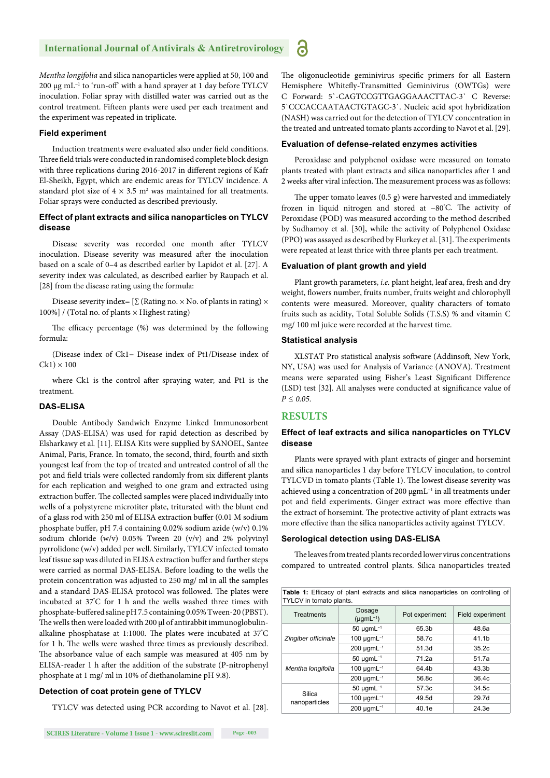*Mentha longifolia* and silica nanoparticles were applied at 50, 100 and 200 μg mL<sup>-1</sup> to 'run-off' with a hand sprayer at 1 day before TYLCV inoculation. Foliar spray with distilled water was carried out as the control treatment. Fifteen plants were used per each treatment and the experiment was repeated in triplicate.

#### **Field experiment**

Induction treatments were evaluated also under field conditions. Three field trials were conducted in randomised complete block design with three replications during 2016-2017 in different regions of Kafr El-Sheikh, Egypt, which are endemic areas for TYLCV incidence. A standard plot size of  $4 \times 3.5$  m<sup>2</sup> was maintained for all treatments. Foliar sprays were conducted as described previously.

#### **Effect of plant extracts and silica nanoparticles on TYLCV disease**

Disease severity was recorded one month after TYLCV inoculation. Disease severity was measured after the inoculation based on a scale of 0–4 as described earlier by Lapidot et al. [27]. A severity index was calculated, as described earlier by Raupach et al. [28] from the disease rating using the formula:

Disease severity index=  $[\Sigma$  (Rating no. × No. of plants in rating) × 100%] / (Total no. of plants  $\times$  Highest rating)

The efficacy percentage (%) was determined by the following formula:

(Disease index of Ck1− Disease index of Pt1/Disease index of  $Ck1 \times 100$ 

where Ck1 is the control after spraying water; and Pt1 is the treatment.

#### **DAS-ELISA**

Double Antibody Sandwich Enzyme Linked Immunosorbent Assay (DAS-ELISA) was used for rapid detection as described by Elsharkawy et al. [11]. ELISA Kits were supplied by SANOEL, Santee Animal, Paris, France. In tomato, the second, third, fourth and sixth youngest leaf from the top of treated and untreated control of all the pot and field trials were collected randomly from six different plants for each replication and weighed to one gram and extracted using extraction buffer. The collected samples were placed individually into wells of a polystyrene microtiter plate, triturated with the blunt end of a glass rod with 250 ml of ELISA extraction buffer (0.01 M sodium phosphate buffer, pH 7.4 containing 0.02% sodium azide (w/v) 0.1% sodium chloride (w/v) 0.05% Tween 20 (v/v) and 2% polyvinyl pyrrolidone (w/v) added per well. Similarly, TYLCV infected tomato leaf tissue sap was diluted in ELISA extraction buffer and further steps were carried as normal DAS-ELISA. Before loading to the wells the protein concentration was adjusted to 250 mg/ ml in all the samples and a standard DAS-ELISA protocol was followed. The plates were incubated at 37° C for 1 h and the wells washed three times with phosphate-buffered saline pH 7.5 containing 0.05% Tween-20 (PBST). The wells then were loaded with 200 μl of antirabbit immunoglobulinalkaline phosphatase at 1:1000. The plates were incubated at 37°C for 1 h. The wells were washed three times as previously described. The absorbance value of each sample was measured at 405 nm by ELISA-reader 1 h after the addition of the substrate (P-nitrophenyl phosphate at 1 mg/ ml in 10% of diethanolamine pH 9.8).

#### **Detection of coat protein gene of TYLCV**

TYLCV was detected using PCR according to Navot et al. [28].

The oligonucleotide geminivirus specific primers for all Eastern Hemisphere Whitefly-Transmitted Geminivirus (OWTGs) were C Forward: 5`-CAGTCCGTTGAGGAAACTTAC-3` C Reverse: 5`CCCACCAATAACTGTAGC-3`. Nucleic acid spot hybridization (NASH) was carried out for the detection of TYLCV concentration in the treated and untreated tomato plants according to Navot et al. [29].

#### **Evaluation of defense-related enzymes activities**

Peroxidase and polyphenol oxidase were measured on tomato plants treated with plant extracts and silica nanoparticles after 1 and 2 weeks after viral infection. The measurement process was as follows:

The upper tomato leaves  $(0.5 \text{ g})$  were harvested and immediately frozen in liquid nitrogen and stored at -80°C. The activity of Peroxidase (POD) was measured according to the method described by Sudhamoy et al. [30], while the activity of Polyphenol Oxidase (PPO) was assayed as described by Flurkey et al. [31]. The experiments were repeated at least thrice with three plants per each treatment.

#### **Evaluation of plant growth and yield**

Plant growth parameters, *i.e.* plant height, leaf area, fresh and dry weight, flowers number, fruits number, fruits weight and chlorophyll contents were measured. Moreover, quality characters of tomato fruits such as acidity, Total Soluble Solids (T.S.S) % and vitamin C mg/ 100 ml juice were recorded at the harvest time.

#### **Statistical analysis**

XLSTAT Pro statistical analysis software (Addinsoft, New York, NY, USA) was used for Analysis of Variance (ANOVA). Treatment means were separated using Fisher's Least Significant Difference (LSD) test [32]. All analyses were conducted at significance value of *P ≤ 0.05*.

#### **RESULTS**

 $\ddot{\mathbf{c}}$ 

#### **Effect of leaf extracts and silica nanoparticles on TYLCV disease**

Plants were sprayed with plant extracts of ginger and horsemint and silica nanoparticles 1 day before TYLCV inoculation, to control TYLCVD in tomato plants (Table 1). The lowest disease severity was achieved using a concentration of 200 μgmL−1 in all treatments under pot and field experiments. Ginger extract was more effective than the extract of horsemint. The protective activity of plant extracts was more effective than the silica nanoparticles activity against TYLCV.

#### **Serological detection using DAS-ELISA**

The leaves from treated plants recorded lower virus concentrations compared to untreated control plants. Silica nanoparticles treated

| <b>Table 1:</b> Efficacy of plant extracts and silica nanoparticles on controlling of<br>TYLCV in tomato plants. |                                                        |       |                   |  |  |
|------------------------------------------------------------------------------------------------------------------|--------------------------------------------------------|-------|-------------------|--|--|
| <b>Treatments</b>                                                                                                | Dosage<br>Pot experiment<br>$(\mu$ gmL <sup>-1</sup> ) |       | Field experiment  |  |  |
| Zingiber officinale                                                                                              | $50 \mu$ qm $L^{-1}$                                   | 65.3b |                   |  |  |
|                                                                                                                  | 100 $\mu$ gmL <sup>-1</sup><br>58.7c                   |       | 41.1b             |  |  |
|                                                                                                                  | $200 \mu$ gmL <sup>-1</sup>                            | 51.3d | 35.2c             |  |  |
| Mentha longifolia                                                                                                | $50 \mu$ qmL <sup>-1</sup>                             | 71.2a | 51.7a             |  |  |
|                                                                                                                  | $100 \mu$ gmL <sup>-1</sup>                            | 64.4b | 43.3 <sub>b</sub> |  |  |
|                                                                                                                  | $200 \mu$ gmL <sup>-1</sup>                            | 56.8c | 36.4c             |  |  |
| Silica<br>nanoparticles                                                                                          | $50 \mu$ qmL <sup>-1</sup>                             | 57.3c | 34.5c             |  |  |
|                                                                                                                  | 100 $\mu$ qmL <sup>-1</sup>                            | 49.5d | 29.7d             |  |  |
|                                                                                                                  | $200 \mu$ gmL <sup>-1</sup>                            | 40.1e | 24.3e             |  |  |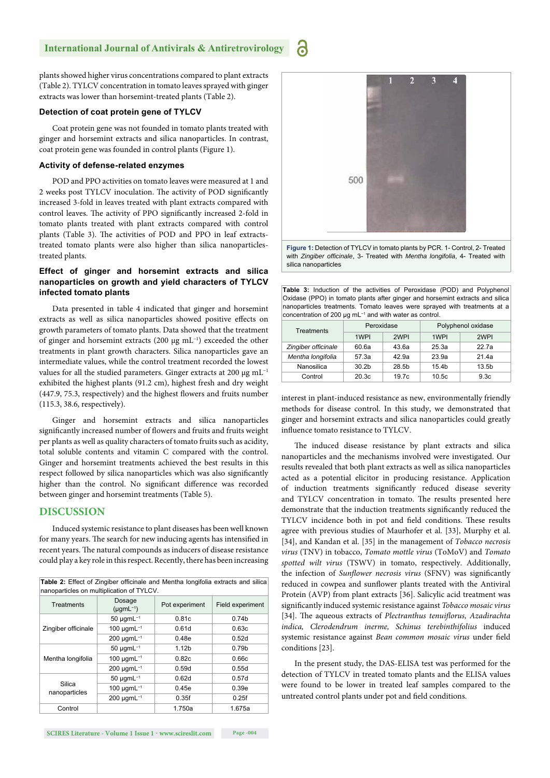plants showed higher virus concentrations compared to plant extracts (Table 2). TYLCV concentration in tomato leaves sprayed with ginger extracts was lower than horsemint-treated plants (Table 2).

#### **Detection of coat protein gene of TYLCV**

Coat protein gene was not founded in tomato plants treated with ginger and horsemint extracts and silica nanoparticles. In contrast, coat protein gene was founded in control plants (Figure 1).

#### **Activity of defense-related enzymes**

POD and PPO activities on tomato leaves were measured at 1 and 2 weeks post TYLCV inoculation. The activity of POD significantly increased 3-fold in leaves treated with plant extracts compared with control leaves. The activity of PPO significantly increased 2-fold in tomato plants treated with plant extracts compared with control plants (Table 3). The activities of POD and PPO in leaf extractstreated tomato plants were also higher than silica nanoparticlestreated plants.

#### **Effect of ginger and horsemint extracts and silica nanoparticles on growth and yield characters of TYLCV infected tomato plants**

Data presented in table 4 indicated that ginger and horsemint extracts as well as silica nanoparticles showed positive effects on growth parameters of tomato plants. Data showed that the treatment of ginger and horsemint extracts (200 μg mL−1) exceeded the other treatments in plant growth characters. Silica nanoparticles gave an intermediate values, while the control treatment recorded the lowest values for all the studied parameters. Ginger extracts at 200 μg mL−1 exhibited the highest plants (91.2 cm), highest fresh and dry weight (447.9, 75.3, respectively) and the highest flowers and fruits number (115.3, 38.6, respectively).

Ginger and horsemint extracts and silica nanoparticles significantly increased number of flowers and fruits and fruits weight per plants as well as quality characters of tomato fruits such as acidity, total soluble contents and vitamin C compared with the control. Ginger and horsemint treatments achieved the best results in this respect followed by silica nanoparticles which was also significantly higher than the control. No significant difference was recorded between ginger and horsemint treatments (Table 5).

## **DISCUSSION**

Induced systemic resistance to plant diseases has been well known for many years. The search for new inducing agents has intensified in recent years. The natural compounds as inducers of disease resistance could play a key role in this respect. Recently, there has been increasing

| Table 2: Effect of Zingiber officinale and Mentha longifolia extracts and silica<br>nanoparticles on multiplication of TYLCV. |                                      |                   |                   |  |  |
|-------------------------------------------------------------------------------------------------------------------------------|--------------------------------------|-------------------|-------------------|--|--|
| Treatments                                                                                                                    | Dosage<br>$(\mu$ gmL <sup>-1</sup> ) | Pot experiment    |                   |  |  |
| Zingiber officinale                                                                                                           | $50 \mu$ gmL <sup>-1</sup><br>0.81c  |                   | 0.74 <sub>b</sub> |  |  |
|                                                                                                                               | 100 $\mu$ qmL <sup>-1</sup>          | 0.61d             | 0.63c             |  |  |
|                                                                                                                               | $200 \mu$ gmL <sup>-1</sup>          | 0.48e             | 0.52d             |  |  |
| Mentha longifolia                                                                                                             | $50 \mu$ qmL <sup>-1</sup>           | 1.12 <sub>b</sub> | 0.79 <sub>b</sub> |  |  |
|                                                                                                                               | $100 \mu$ gmL <sup>-1</sup>          | 0.82c             | 0.66c             |  |  |
|                                                                                                                               | $200 \mu$ gmL <sup>-1</sup>          | 0.59d             | 0.55d             |  |  |
| Silica<br>nanoparticles                                                                                                       | $50 \mu$ qmL <sup>-1</sup>           | 0.62d             | 0.57d             |  |  |
|                                                                                                                               | 100 $\mu$ gmL <sup>-1</sup>          | 0.45e             | 0.39e             |  |  |
|                                                                                                                               | $200 \mu$ gmL <sup>-1</sup>          | 0.35f             | 0.25f             |  |  |
| Control                                                                                                                       |                                      | 1.750a            | 1.675a            |  |  |



Ы

**Figure 1:** Detection of TYLCV in tomato plants by PCR. 1- Control, 2- Treated with *Zingiber officinale*, 3- Treated with *Mentha longifolia*, 4- Treated with silica nanoparticles

**Table 3:** Induction of the activities of Peroxidase (POD) and Polyphenol Oxidase (PPO) in tomato plants after ginger and horsemint extracts and silica nanoparticles treatments. Tomato leaves were sprayed with treatments at a concentration of 200 μg mL−1 and with water as control.

| Treatments          | Peroxidase        |       | Polyphenol oxidase |                  |  |  |
|---------------------|-------------------|-------|--------------------|------------------|--|--|
|                     | 1WPI              | 2WPI  | 1WPI               | 2WPI             |  |  |
| Zingiber officinale | 60.6a             | 43.6a | 25.3a              | 22.7a            |  |  |
| Mentha longifolia   | 57.3a             | 42.9a | 23.9a              | 21.4a            |  |  |
| Nanosilica          | 30.2 <sub>b</sub> | 28.5b | 15.4b              | 13.5b            |  |  |
| Control             | 20.3 <sub>c</sub> | 19.7c | 10.5 <sub>c</sub>  | 9.3 <sub>c</sub> |  |  |

interest in plant-induced resistance as new, environmentally friendly methods for disease control. In this study, we demonstrated that ginger and horsemint extracts and silica nanoparticles could greatly influence tomato resistance to TYLCV.

The induced disease resistance by plant extracts and silica nanoparticles and the mechanisms involved were investigated. Our results revealed that both plant extracts as well as silica nanoparticles acted as a potential elicitor in producing resistance. Application of induction treatments significantly reduced disease severity and TYLCV concentration in tomato. The results presented here demonstrate that the induction treatments significantly reduced the TYLCV incidence both in pot and field conditions. These results agree with previous studies of Maurhofer et al. [33], Murphy et al. [34], and Kandan et al. [35] in the management of *Tobacco necrosis virus* (TNV) in tobacco, *Tomato mottle virus* (ToMoV) and *Tomato spotted wilt virus* (TSWV) in tomato, respectively. Additionally, the infection of *Sunflower necrosis virus* (SFNV) was significantly reduced in cowpea and sunflower plants treated with the Antiviral Protein (AVP) from plant extracts [36]. Salicylic acid treatment was signifi cantly induced systemic resistance against *Tobacco mosaic virus* [34]. The aqueous extracts of *Plectranthus tenuiflorus*, Azadirachta *indica, Clerodendrum inerme, Schinus terebinthifolius* induced systemic resistance against *Bean common mosaic virus* under field conditions [23].

In the present study, the DAS-ELISA test was performed for the detection of TYLCV in treated tomato plants and the ELISA values were found to be lower in treated leaf samples compared to the untreated control plants under pot and field conditions.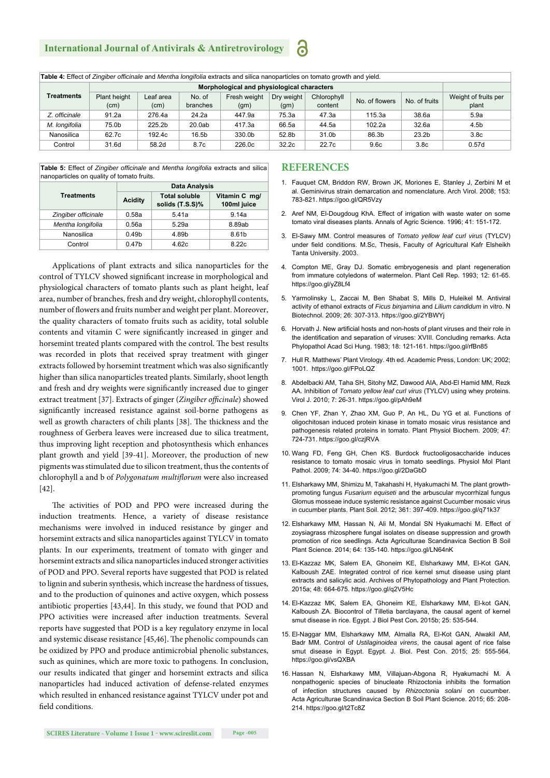# **International Journal of Antivirals & Antiretrovirology**

**Table 4:** Effect of *Zingiber offi cinale* and *Mentha longifolia* extracts and silica nanoparticles on tomato growth and yield.

|               | Morphological and physiological characters |                   |                    |                      |                    |                        |                |                   |                               |
|---------------|--------------------------------------------|-------------------|--------------------|----------------------|--------------------|------------------------|----------------|-------------------|-------------------------------|
| Treatments    | Plant height<br>(cm)                       | Leaf area<br>(cm) | No. of<br>branches | Fresh weight<br>(gm) | Dry weight<br>(gm) | Chlorophyll<br>content | No. of flowers | No. of fruits     | Weight of fruits per<br>plant |
| Z. officinale | 91.2a                                      | 276.4a            | 24.2a              | 447.9a               | 75.3a              | 47.3a                  | 115.3a         | 38.6a             | 5.9a                          |
| M. longifolia | 75.0b                                      | 225.2b            | 20.0ab             | 417.3a               | 66.5a              | 44.5a                  | 102.2a         | 32.6a             | 4.5 <sub>b</sub>              |
| Nanosilica    | 62.7c                                      | 192.4c            | 16.5b              | 330.0b               | 52.8b              | 31.0b                  | 86.3b          | 23.2 <sub>b</sub> | 3.8 <sub>c</sub>              |
| Control       | 31.6d                                      | 58.2d             | 8.7c               | 226.0c               | 32.2c              | 22.7c                  | 9.6c           | 3.8 <sub>c</sub>  | 0.57d                         |

**Table 5:** Effect of *Zingiber officinale* and *Mentha longifolia* extracts and silica nanoparticles on quality of tomato fruits.

|                     | <b>Data Analysis</b> |                                         |                              |  |  |  |
|---------------------|----------------------|-----------------------------------------|------------------------------|--|--|--|
| <b>Treatments</b>   | <b>Acidity</b>       | <b>Total soluble</b><br>solids (T.S.S)% | Vitamin C mg/<br>100ml juice |  |  |  |
| Zingiber officinale | 0.58a                | 5.41a                                   | 9.14a                        |  |  |  |
| Mentha longifolia   | 0.56a                | 5.29a                                   | 8.89ab                       |  |  |  |
| Nanosilica          | 0.49 <sub>b</sub>    | 4.89b                                   | 8.61b                        |  |  |  |
| Control             | 0.47 <sub>b</sub>    | 4.62c                                   | 8.22c                        |  |  |  |

Applications of plant extracts and silica nanoparticles for the control of TYLCV showed significant increase in morphological and physiological characters of tomato plants such as plant height, leaf area, number of branches, fresh and dry weight, chlorophyll contents, number of flowers and fruits number and weight per plant. Moreover, the quality characters of tomato fruits such as acidity, total soluble contents and vitamin C were significantly increased in ginger and horsemint treated plants compared with the control. The best results was recorded in plots that received spray treatment with ginger extracts followed by horsemint treatment which was also significantly higher than silica nanoparticles treated plants. Similarly, shoot length and fresh and dry weights were significantly increased due to ginger extract treatment [37]. Extracts of ginger (*Zingiber officinale*) showed significantly increased resistance against soil-borne pathogens as well as growth characters of chili plants [38]. The thickness and the roughness of Gerbera leaves were increased due to silica treatment, thus improving light reception and photosynthesis which enhances plant growth and yield [39-41]. Moreover, the production of new pigments was stimulated due to silicon treatment, thus the contents of chlorophyll a and b of *Polygonatum multiflorum* were also increased [42].

The activities of POD and PPO were increased during the induction treatments. Hence, a variety of disease resistance mechanisms were involved in induced resistance by ginger and horsemint extracts and silica nanoparticles against TYLCV in tomato plants. In our experiments, treatment of tomato with ginger and horsemint extracts and silica nanoparticles induced stronger activities of POD and PPO. Several reports have suggested that POD is related to lignin and suberin synthesis, which increase the hardness of tissues, and to the production of quinones and active oxygen, which possess antibiotic properties [43,44]. In this study, we found that POD and PPO activities were increased after induction treatments. Several reports have suggested that POD is a key regulatory enzyme in local and systemic disease resistance [45,46]. The phenolic compounds can be oxidized by PPO and produce antimicrobial phenolic substances, such as quinines, which are more toxic to pathogens. In conclusion, our results indicated that ginger and horsemint extracts and silica nanoparticles had induced activation of defense-related enzymes which resulted in enhanced resistance against TYLCV under pot and field conditions.

#### **REFERENCES**

**გ** 

- 1. Fauquet CM, Briddon RW, Brown JK, Moriones E, Stanley J, Zerbini M et al. Geminivirus strain demarcation and nomenclature. Arch Virol. 2008; 153: 783-821. https://goo.gl/QR5Vzy
- 2. Aref NM, El-Dougdoug KhA. Effect of irrigation with waste water on some tomato viral diseases plants. Annals of Agric Science. 1996; 41: 151-172.
- 3. El-Sawy MM. Control measures of *Tomato yellow leaf curl virus* (TYLCV) under field conditions. M.Sc, Thesis, Faculty of Agricultural Kafr Elsheikh Tanta University. 2003.
- 4. Compton ME, Gray DJ. Somatic embryogenesis and plant regeneration from immature cotyledons of watermelon. Plant Cell Rep. 1993; 12: 61-65. https://goo.gl/yZ8Lf4
- 5. Yarmolinsky L, Zaccai M, Ben Shabat S, Mills D, Huleikel M. Antiviral activity of ethanol extracts of *Ficus binjamina* and *Lilium candidum* in vitro. N Biotechnol. 2009; 26: 307-313. https://goo.gl/2YBWYj
- 6. Horvath J. New artificial hosts and non-hosts of plant viruses and their role in the identification and separation of viruses: XVIII. Concluding remarks. Acta Phylopathol Acad Sci Hung. 1983; 18: 121-161. https://goo.gl/rfBn85
- 7. Hull R. Matthews' Plant Virology. 4th ed. Academic Press, London: UK; 2002; 1001. https://goo.gl/FPoLQZ
- 8. Abdelbacki AM, Taha SH, Sitohy MZ, Dawood AIA, Abd-El Hamid MM, Rezk AA. Inhibition of *Tomato yellow leaf curl virus* (TYLCV) using whey proteins. Virol J. 2010; 7: 26-31. https://goo.gl/pAh9eM
- 9. Chen YF, Zhan Y, Zhao XM, Guo P, An HL, Du YG et al. Functions of oligochitosan induced protein kinase in tomato mosaic virus resistance and pathogenesis related proteins in tomato. Plant Physiol Biochem. 2009; 47: 724-731. https://goo.gl/czjRVA
- 10. Wang FD, Feng GH, Chen KS. Burdock fructooligosaccharide induces resistance to tomato mosaic virus in tomato seedlings. Physiol Mol Plant Pathol. 2009; 74: 34-40. https://goo.gl/2DaGbD
- 11. Elsharkawy MM, Shimizu M, Takahashi H, Hyakumachi M. The plant growthpromoting fungus *Fusarium equiseti* and the arbuscular mycorrhizal fungus Glomus mosseae induce systemic resistance against Cucumber mosaic virus in cucumber plants. Plant Soil. 2012; 361: 397-409. https://goo.gl/q71k37
- 12. Elsharkawy MM, Hassan N, Ali M, Mondal SN Hyakumachi M. Effect of zoysiagrass rhizosphere fungal isolates on disease suppression and growth promotion of rice seedlings. Acta Agriculturae Scandinavica Section B Soil Plant Science. 2014; 64: 135-140. https://goo.gl/LN64nK
- 13. El-Kazzaz MK, Salem EA, Ghoneim KE, Elsharkawy MM, El-Kot GAN, Kalboush ZAE. Integrated control of rice kernel smut disease using plant extracts and salicylic acid. Archives of Phytopathology and Plant Protection. 2015a; 48: 664-675. https://goo.gl/q2V5Hc
- 14. El-Kazzaz MK, Salem EA, Ghoneim KE, Elsharkawy MM, El-kot GAN, Kalboush ZA. Biocontrol of Tilletia barclayana, the causal agent of kernel smut disease in rice. Egypt. J Biol Pest Con**.** 2015b; 25: 535-544.
- 15. El-Naggar MM, Elsharkawy MM, Almalla RA, El-Kot GAN, Alwakil AM, Badr MM. Control of *Ustilaginoidea virens*, the causal agent of rice false smut disease in Egypt. Egypt. J. Biol. Pest Con. 2015; 25: 555-564. https://goo.gl/vsQXBA
- 16. Hassan N, Elsharkawy MM, Villajuan-Abgona R, Hyakumachi M. A nonpathogenic species of binucleate Rhizoctonia inhibits the formation of infection structures caused by *Rhizoctonia solani* on cucumber. Acta Agriculturae Scandinavica Section B Soil Plant Science. 2015; 65: 208- 214. https://goo.gl/t2Tc8Z